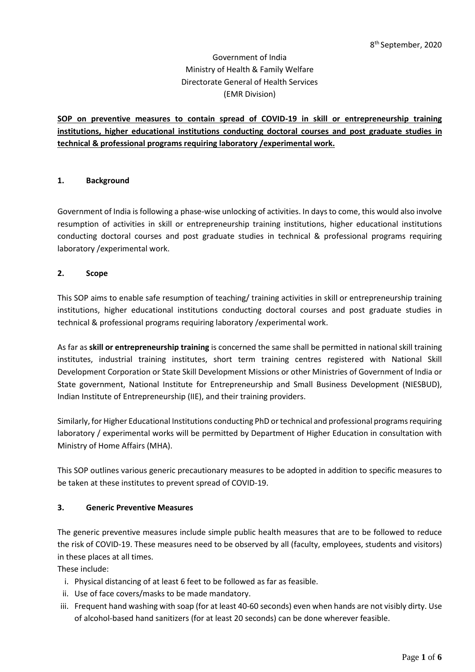# Government of India Ministry of Health & Family Welfare Directorate General of Health Services (EMR Division)

**SOP on preventive measures to contain spread of COVID-19 in skill or entrepreneurship training institutions, higher educational institutions conducting doctoral courses and post graduate studies in technical & professional programs requiring laboratory /experimental work.**

## **1. Background**

Government of India is following a phase-wise unlocking of activities. In days to come, this would also involve resumption of activities in skill or entrepreneurship training institutions, higher educational institutions conducting doctoral courses and post graduate studies in technical & professional programs requiring laboratory /experimental work.

#### **2. Scope**

This SOP aims to enable safe resumption of teaching/ training activities in skill or entrepreneurship training institutions, higher educational institutions conducting doctoral courses and post graduate studies in technical & professional programs requiring laboratory /experimental work.

As far as **skill or entrepreneurship training** is concerned the same shall be permitted in national skill training institutes, industrial training institutes, short term training centres registered with National Skill Development Corporation or State Skill Development Missions or other Ministries of Government of India or State government, National Institute for Entrepreneurship and Small Business Development (NIESBUD), Indian Institute of Entrepreneurship (IIE), and their training providers.

Similarly, for Higher Educational Institutions conducting PhD or technical and professional programs requiring laboratory / experimental works will be permitted by Department of Higher Education in consultation with Ministry of Home Affairs (MHA).

This SOP outlines various generic precautionary measures to be adopted in addition to specific measures to be taken at these institutes to prevent spread of COVID-19.

#### **3. Generic Preventive Measures**

The generic preventive measures include simple public health measures that are to be followed to reduce the risk of COVID-19. These measures need to be observed by all (faculty, employees, students and visitors) in these places at all times.

These include:

- i. Physical distancing of at least 6 feet to be followed as far as feasible.
- ii. Use of face covers/masks to be made mandatory.
- iii. Frequent hand washing with soap (for at least 40-60 seconds) even when hands are not visibly dirty. Use of alcohol-based hand sanitizers (for at least 20 seconds) can be done wherever feasible.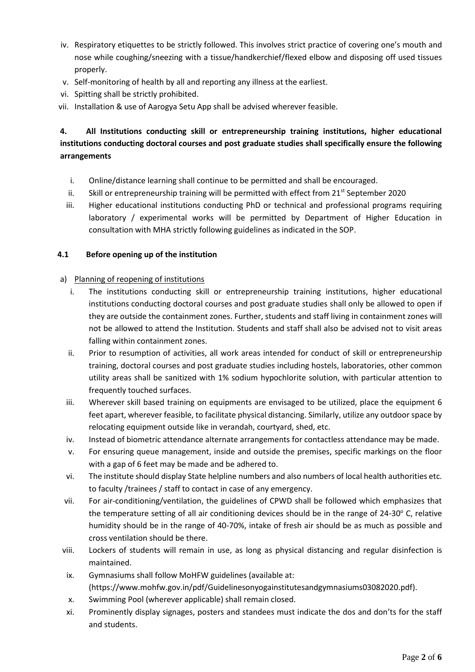- iv. Respiratory etiquettes to be strictly followed. This involves strict practice of covering one's mouth and nose while coughing/sneezing with a tissue/handkerchief/flexed elbow and disposing off used tissues properly.
- v. Self-monitoring of health by all and reporting any illness at the earliest.
- vi. Spitting shall be strictly prohibited.
- vii. Installation & use of Aarogya Setu App shall be advised wherever feasible.

# **4. All Institutions conducting skill or entrepreneurship training institutions, higher educational institutions conducting doctoral courses and post graduate studies shall specifically ensure the following arrangements**

- i. Online/distance learning shall continue to be permitted and shall be encouraged.
- ii. Skill or entrepreneurship training will be permitted with effect from  $21^{st}$  September 2020
- iii. Higher educational institutions conducting PhD or technical and professional programs requiring laboratory / experimental works will be permitted by Department of Higher Education in consultation with MHA strictly following guidelines as indicated in the SOP.

#### **4.1 Before opening up of the institution**

#### a) Planning of reopening of institutions

- i. The institutions conducting skill or entrepreneurship training institutions, higher educational institutions conducting doctoral courses and post graduate studies shall only be allowed to open if they are outside the containment zones. Further, students and staff living in containment zones will not be allowed to attend the Institution. Students and staff shall also be advised not to visit areas falling within containment zones.
- ii. Prior to resumption of activities, all work areas intended for conduct of skill or entrepreneurship training, doctoral courses and post graduate studies including hostels, laboratories, other common utility areas shall be sanitized with 1% sodium hypochlorite solution, with particular attention to frequently touched surfaces.
- iii. Wherever skill based training on equipments are envisaged to be utilized, place the equipment 6 feet apart, wherever feasible, to facilitate physical distancing. Similarly, utilize any outdoor space by relocating equipment outside like in verandah, courtyard, shed, etc.
- iv. Instead of biometric attendance alternate arrangements for contactless attendance may be made.
- v. For ensuring queue management, inside and outside the premises, specific markings on the floor with a gap of 6 feet may be made and be adhered to.
- vi. The institute should display State helpline numbers and also numbers of local health authorities etc. to faculty /trainees / staff to contact in case of any emergency.
- vii. For air-conditioning/ventilation, the guidelines of CPWD shall be followed which emphasizes that the temperature setting of all air conditioning devices should be in the range of  $24\text{-}30^{\circ}$  C, relative humidity should be in the range of 40-70%, intake of fresh air should be as much as possible and cross ventilation should be there.
- viii. Lockers of students will remain in use, as long as physical distancing and regular disinfection is maintained.
- ix. Gymnasiums shall follow MoHFW guidelines (available at: [\(https://www.mohfw.gov.in/pdf/Guidelinesonyogainstitutesandgymnasiums03082020.pdf\)](https://www.mohfw.gov.in/pdf/Guidelinesonyogainstitutesandgymnasiums03082020.pdf).
- x. Swimming Pool (wherever applicable) shall remain closed.
- xi. Prominently display signages, posters and standees must indicate the dos and don'ts for the staff and students.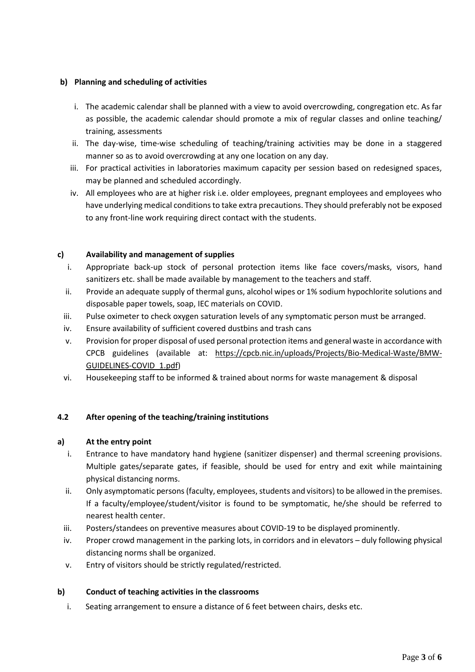## **b) Planning and scheduling of activities**

- i. The academic calendar shall be planned with a view to avoid overcrowding, congregation etc. As far as possible, the academic calendar should promote a mix of regular classes and online teaching/ training, assessments
- ii. The day-wise, time-wise scheduling of teaching/training activities may be done in a staggered manner so as to avoid overcrowding at any one location on any day.
- iii. For practical activities in laboratories maximum capacity per session based on redesigned spaces, may be planned and scheduled accordingly.
- iv. All employees who are at higher risk i.e. older employees, pregnant employees and employees who have underlying medical conditions to take extra precautions. They should preferably not be exposed to any front-line work requiring direct contact with the students.

## **c) Availability and management of supplies**

- i. Appropriate back-up stock of personal protection items like face covers/masks, visors, hand sanitizers etc. shall be made available by management to the teachers and staff.
- ii. Provide an adequate supply of thermal guns, alcohol wipes or 1% sodium hypochlorite solutions and disposable paper towels, soap, IEC materials on COVID.
- iii. Pulse oximeter to check oxygen saturation levels of any symptomatic person must be arranged.
- iv. Ensure availability of sufficient covered dustbins and trash cans
- v. Provision for proper disposal of used personal protection items and general waste in accordance with CPCB guidelines (available at: [https://cpcb.nic.in/uploads/Projects/Bio-Medical-Waste/BMW-](https://cpcb.nic.in/uploads/Projects/Bio-Medical-Waste/BMW-GUIDELINES-COVID_1.pdf)[GUIDELINES-COVID\\_1.pdf\)](https://cpcb.nic.in/uploads/Projects/Bio-Medical-Waste/BMW-GUIDELINES-COVID_1.pdf)
- vi. Housekeeping staff to be informed & trained about norms for waste management & disposal

## **4.2 After opening of the teaching/training institutions**

## **a) At the entry point**

- i. Entrance to have mandatory hand hygiene (sanitizer dispenser) and thermal screening provisions. Multiple gates/separate gates, if feasible, should be used for entry and exit while maintaining physical distancing norms.
- ii. Only asymptomatic persons (faculty, employees, students and visitors) to be allowed in the premises. If a faculty/employee/student/visitor is found to be symptomatic, he/she should be referred to nearest health center.
- iii. Posters/standees on preventive measures about COVID-19 to be displayed prominently.
- iv. Proper crowd management in the parking lots, in corridors and in elevators duly following physical distancing norms shall be organized.
- v. Entry of visitors should be strictly regulated/restricted.

## **b) Conduct of teaching activities in the classrooms**

i. Seating arrangement to ensure a distance of 6 feet between chairs, desks etc.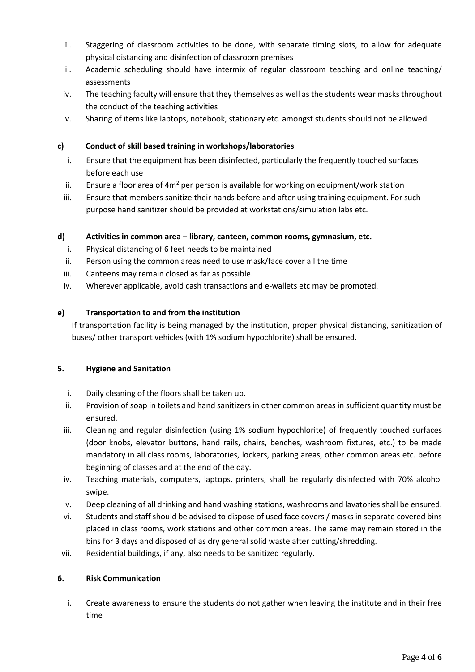- ii. Staggering of classroom activities to be done, with separate timing slots, to allow for adequate physical distancing and disinfection of classroom premises
- iii. Academic scheduling should have intermix of regular classroom teaching and online teaching/ assessments
- iv. The teaching faculty will ensure that they themselves as well as the students wear masks throughout the conduct of the teaching activities
- v. Sharing of items like laptops, notebook, stationary etc. amongst students should not be allowed.

## **c) Conduct of skill based training in workshops/laboratories**

- i. Ensure that the equipment has been disinfected, particularly the frequently touched surfaces before each use
- ii. Ensure a floor area of  $4m^2$  per person is available for working on equipment/work station
- iii. Ensure that members sanitize their hands before and after using training equipment. For such purpose hand sanitizer should be provided at workstations/simulation labs etc.

## **d) Activities in common area – library, canteen, common rooms, gymnasium, etc.**

- i. Physical distancing of 6 feet needs to be maintained
- ii. Person using the common areas need to use mask/face cover all the time
- iii. Canteens may remain closed as far as possible.
- iv. Wherever applicable, avoid cash transactions and e-wallets etc may be promoted.

## **e) Transportation to and from the institution**

If transportation facility is being managed by the institution, proper physical distancing, sanitization of buses/ other transport vehicles (with 1% sodium hypochlorite) shall be ensured.

## **5. Hygiene and Sanitation**

- i. Daily cleaning of the floors shall be taken up.
- ii. Provision of soap in toilets and hand sanitizers in other common areas in sufficient quantity must be ensured.
- iii. Cleaning and regular disinfection (using 1% sodium hypochlorite) of frequently touched surfaces (door knobs, elevator buttons, hand rails, chairs, benches, washroom fixtures, etc.) to be made mandatory in all class rooms, laboratories, lockers, parking areas, other common areas etc. before beginning of classes and at the end of the day.
- iv. Teaching materials, computers, laptops, printers, shall be regularly disinfected with 70% alcohol swipe.
- v. Deep cleaning of all drinking and hand washing stations, washrooms and lavatories shall be ensured.
- vi. Students and staff should be advised to dispose of used face covers / masks in separate covered bins placed in class rooms, work stations and other common areas. The same may remain stored in the bins for 3 days and disposed of as dry general solid waste after cutting/shredding.
- vii. Residential buildings, if any, also needs to be sanitized regularly.

## **6. Risk Communication**

i. Create awareness to ensure the students do not gather when leaving the institute and in their free time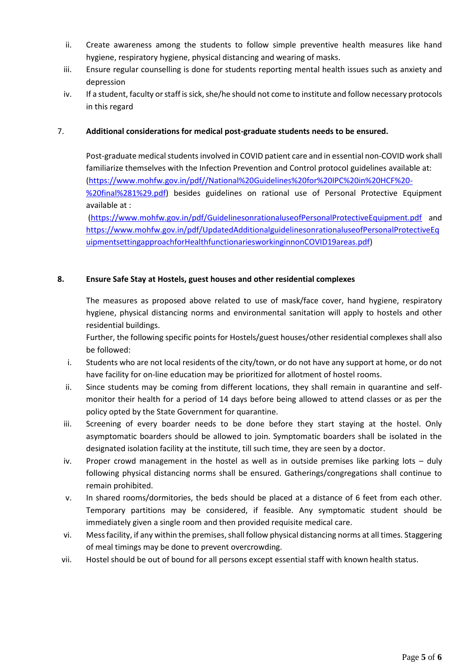- ii. Create awareness among the students to follow simple preventive health measures like hand hygiene, respiratory hygiene, physical distancing and wearing of masks.
- iii. Ensure regular counselling is done for students reporting mental health issues such as anxiety and depression
- iv. If a student, faculty or staff is sick, she/he should not come to institute and follow necessary protocols in this regard

#### 7. **Additional considerations for medical post-graduate students needs to be ensured.**

Post-graduate medical students involved in COVID patient care and in essential non-COVID work shall familiarize themselves with the Infection Prevention and Control protocol guidelines available at: [\(https://www.mohfw.gov.in/pdf//National%20Guidelines%20for%20IPC%20in%20HCF%20-](https://www.mohfw.gov.in/pdf/National%20Guidelines%20for%20IPC%20in%20HCF%20-%20final%281%29.pdf) [%20final%281%29.pdf\)](https://www.mohfw.gov.in/pdf/National%20Guidelines%20for%20IPC%20in%20HCF%20-%20final%281%29.pdf) besides guidelines on rational use of Personal Protective Equipment available at :

[\(https://www.mohfw.gov.in/pdf/GuidelinesonrationaluseofPersonalProtectiveEquipment.pdf](https://www.mohfw.gov.in/pdf/GuidelinesonrationaluseofPersonalProtectiveEquipment.pdf) and [https://www.mohfw.gov.in/pdf/UpdatedAdditionalguidelinesonrationaluseofPersonalProtectiveEq](https://www.mohfw.gov.in/pdf/UpdatedAdditionalguidelinesonrationaluseofPersonalProtectiveEquipmentsettingapproachforHealthfunctionariesworkinginnonCOVID19areas.pdf) [uipmentsettingapproachforHealthfunctionariesworkinginnonCOVID19areas.pdf\)](https://www.mohfw.gov.in/pdf/UpdatedAdditionalguidelinesonrationaluseofPersonalProtectiveEquipmentsettingapproachforHealthfunctionariesworkinginnonCOVID19areas.pdf)

#### **8. Ensure Safe Stay at Hostels, guest houses and other residential complexes**

The measures as proposed above related to use of mask/face cover, hand hygiene, respiratory hygiene, physical distancing norms and environmental sanitation will apply to hostels and other residential buildings.

Further, the following specific points for Hostels/guest houses/other residential complexes shall also be followed:

- i. Students who are not local residents of the city/town, or do not have any support at home, or do not have facility for on-line education may be prioritized for allotment of hostel rooms.
- ii. Since students may be coming from different locations, they shall remain in quarantine and selfmonitor their health for a period of 14 days before being allowed to attend classes or as per the policy opted by the State Government for quarantine.
- iii. Screening of every boarder needs to be done before they start staying at the hostel. Only asymptomatic boarders should be allowed to join. Symptomatic boarders shall be isolated in the designated isolation facility at the institute, till such time, they are seen by a doctor.
- iv. Proper crowd management in the hostel as well as in outside premises like parking lots duly following physical distancing norms shall be ensured. Gatherings/congregations shall continue to remain prohibited.
- v. In shared rooms/dormitories, the beds should be placed at a distance of 6 feet from each other. Temporary partitions may be considered, if feasible. Any symptomatic student should be immediately given a single room and then provided requisite medical care.
- vi. Mess facility, if any within the premises, shall follow physical distancing norms at all times. Staggering of meal timings may be done to prevent overcrowding.
- vii. Hostel should be out of bound for all persons except essential staff with known health status.